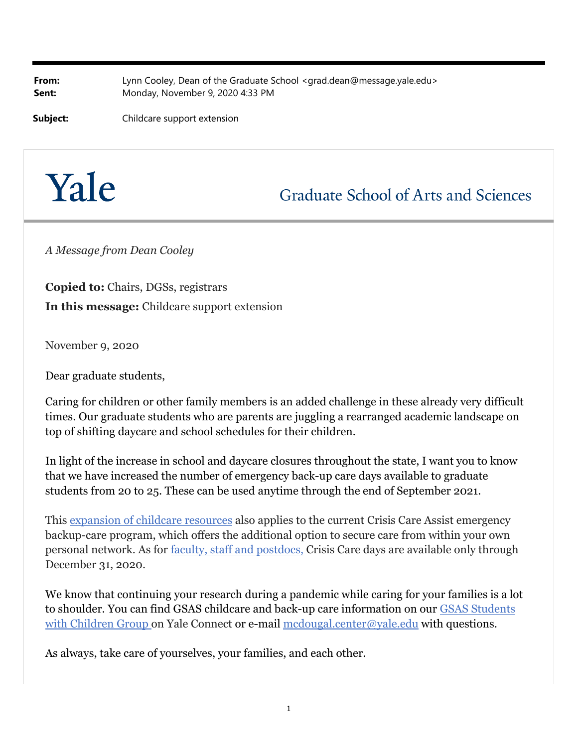**From:** Lynn Cooley, Dean of the Graduate School <grad.dean@message.yale.edu> **Sent:** Monday, November 9, 2020 4:33 PM

**Subject:** Childcare support extension

## Yale

**Graduate School of Arts and Sciences** 

*A Message from Dean Cooley*

**Copied to:** Chairs, DGSs, registrars **In this message:** Childcare support extension

November 9, 2020

Dear graduate students,

Caring for children or other family members is an added challenge in these already very difficult times. Our graduate students who are parents are juggling a rearranged academic landscape on top of shifting daycare and school schedules for their children.

In light of the increase in school and daycare closures throughout the state, I want you to know that we have increased the number of emergency back-up care days available to graduate students from 20 to 25. These can be used anytime through the end of September 2021.

This expansion of childcare resources also applies to the current Crisis Care Assist emergency backup-care program, which offers the additional option to secure care from within your own personal network. As for faculty, staff and postdocs, Crisis Care days are available only through December 31, 2020.

We know that continuing your research during a pandemic while caring for your families is a lot to shoulder. You can find GSAS childcare and back-up care information on our [GSAS Students](https://yaleconnect.yale.edu/login_only?redirect=https%3a%2f%2fyaleconnect.yale.edu%2fstudent_community%3fclub_id%3d48770) [with Children Group](https://yaleconnect.yale.edu/login_only?redirect=https%3a%2f%2fyaleconnect.yale.edu%2fstudent_community%3fclub_id%3d48770) on Yale Connect or e-mail mcdougal.center@yale.edu with questions.

As always, take care of yourselves, your families, and each other.